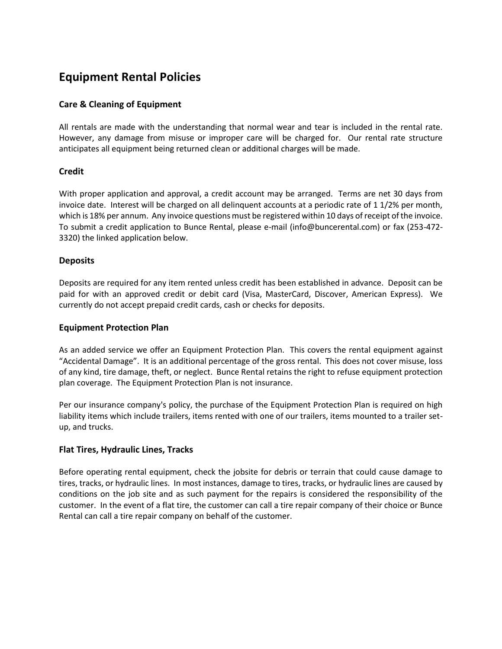# **Equipment Rental Policies**

# **Care & Cleaning of Equipment**

All rentals are made with the understanding that normal wear and tear is included in the rental rate. However, any damage from misuse or improper care will be charged for. Our rental rate structure anticipates all equipment being returned clean or additional charges will be made.

# **Credit**

With proper application and approval, a credit account may be arranged. Terms are net 30 days from invoice date. Interest will be charged on all delinquent accounts at a periodic rate of 1 1/2% per month, which is 18% per annum. Any invoice questions must be registered within 10 days of receipt of the invoice. To submit a credit application to Bunce Rental, please e-mail (info@buncerental.com) or fax (253-472- 3320) the linked application below.

### **Deposits**

Deposits are required for any item rented unless credit has been established in advance. Deposit can be paid for with an approved credit or debit card (Visa, MasterCard, Discover, American Express). We currently do not accept prepaid credit cards, cash or checks for deposits.

### **Equipment Protection Plan**

As an added service we offer an Equipment Protection Plan. This covers the rental equipment against "Accidental Damage". It is an additional percentage of the gross rental. This does not cover misuse, loss of any kind, tire damage, theft, or neglect. Bunce Rental retains the right to refuse equipment protection plan coverage. The Equipment Protection Plan is not insurance.

Per our insurance company's policy, the purchase of the Equipment Protection Plan is required on high liability items which include trailers, items rented with one of our trailers, items mounted to a trailer setup, and trucks.

### **Flat Tires, Hydraulic Lines, Tracks**

Before operating rental equipment, check the jobsite for debris or terrain that could cause damage to tires, tracks, or hydraulic lines. In most instances, damage to tires, tracks, or hydraulic lines are caused by conditions on the job site and as such payment for the repairs is considered the responsibility of the customer. In the event of a flat tire, the customer can call a tire repair company of their choice or Bunce Rental can call a tire repair company on behalf of the customer.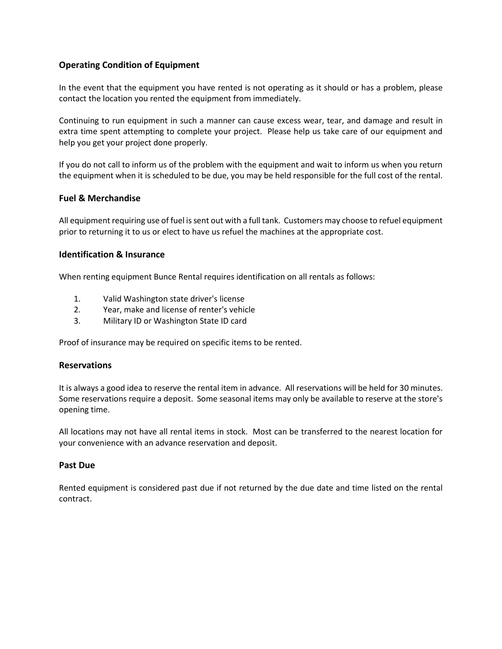# **Operating Condition of Equipment**

In the event that the equipment you have rented is not operating as it should or has a problem, please contact the location you rented the equipment from immediately.

Continuing to run equipment in such a manner can cause excess wear, tear, and damage and result in extra time spent attempting to complete your project. Please help us take care of our equipment and help you get your project done properly.

If you do not call to inform us of the problem with the equipment and wait to inform us when you return the equipment when it is scheduled to be due, you may be held responsible for the full cost of the rental.

### **Fuel & Merchandise**

All equipment requiring use of fuel is sent out with a full tank. Customers may choose to refuel equipment prior to returning it to us or elect to have us refuel the machines at the appropriate cost.

### **Identification & Insurance**

When renting equipment Bunce Rental requires identification on all rentals as follows:

- 1. Valid Washington state driver's license
- 2. Year, make and license of renter's vehicle
- 3. Military ID or Washington State ID card

Proof of insurance may be required on specific items to be rented.

### **Reservations**

It is always a good idea to reserve the rental item in advance. All reservations will be held for 30 minutes. Some reservations require a deposit. Some seasonal items may only be available to reserve at the store's opening time.

All locations may not have all rental items in stock. Most can be transferred to the nearest location for your convenience with an advance reservation and deposit.

#### **Past Due**

Rented equipment is considered past due if not returned by the due date and time listed on the rental contract.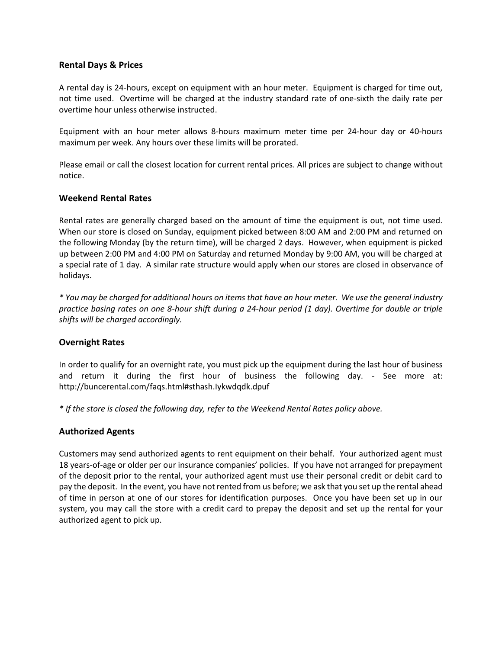## **Rental Days & Prices**

A rental day is 24-hours, except on equipment with an hour meter. Equipment is charged for time out, not time used. Overtime will be charged at the industry standard rate of one-sixth the daily rate per overtime hour unless otherwise instructed.

Equipment with an hour meter allows 8-hours maximum meter time per 24-hour day or 40-hours maximum per week. Any hours over these limits will be prorated.

Please email or call the closest location for current rental prices. All prices are subject to change without notice.

## **Weekend Rental Rates**

Rental rates are generally charged based on the amount of time the equipment is out, not time used. When our store is closed on Sunday, equipment picked between 8:00 AM and 2:00 PM and returned on the following Monday (by the return time), will be charged 2 days. However, when equipment is picked up between 2:00 PM and 4:00 PM on Saturday and returned Monday by 9:00 AM, you will be charged at a special rate of 1 day. A similar rate structure would apply when our stores are closed in observance of holidays.

*\* You may be charged for additional hours on items that have an hour meter. We use the general industry practice basing rates on one 8-hour shift during a 24-hour period (1 day). Overtime for double or triple shifts will be charged accordingly.*

### **Overnight Rates**

In order to qualify for an overnight rate, you must pick up the equipment during the last hour of business and return it during the first hour of business the following day. - See more at: http://buncerental.com/faqs.html#sthash.Iykwdqdk.dpuf

*\* If the store is closed the following day, refer to the Weekend Rental Rates policy above.*

# **Authorized Agents**

Customers may send authorized agents to rent equipment on their behalf. Your authorized agent must 18 years-of-age or older per our insurance companies' policies. If you have not arranged for prepayment of the deposit prior to the rental, your authorized agent must use their personal credit or debit card to pay the deposit. In the event, you have not rented from us before; we ask that you set up the rental ahead of time in person at one of our stores for identification purposes. Once you have been set up in our system, you may call the store with a credit card to prepay the deposit and set up the rental for your authorized agent to pick up.